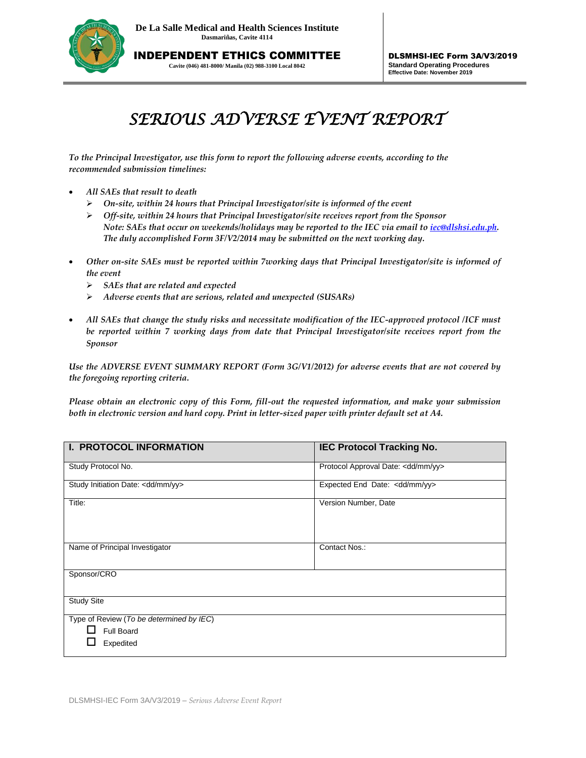

**Cavite (046) 481-8000/ Manila (02) 988-3100 Local 8042**

## *SERIOUS ADVERSE EVENT REPORT*

*To the Principal Investigator, use this form to report the following adverse events, according to the recommended submission timelines:* 

- *All SAEs that result to death*
	- *On-site, within 24 hours that Principal Investigator/site is informed of the event*
	- *Off-site, within 24 hours that Principal Investigator/site receives report from the Sponsor Note: SAEs that occur on weekends/holidays may be reported to the IEC via email to [iec@dlshsi.edu.ph.](mailto:iec@dlshsi.edu.ph) The duly accomplished Form 3F/V2/2014 may be submitted on the next working day.*
- *Other on-site SAEs must be reported within 7working days that Principal Investigator/site is informed of the event*
	- *SAEs that are related and expected*
	- *Adverse events that are serious, related and unexpected (SUSARs)*
- *All SAEs that change the study risks and necessitate modification of the IEC-approved protocol /ICF must be reported within 7 working days from date that Principal Investigator/site receives report from the Sponsor*

*Use the ADVERSE EVENT SUMMARY REPORT (Form 3G/V1/2012) for adverse events that are not covered by the foregoing reporting criteria.*

*Please obtain an electronic copy of this Form, fill-out the requested information, and make your submission both in electronic version and hard copy. Print in letter-sized paper with printer default set at A4.*

| <b>I. PROTOCOL INFORMATION</b>                                      | <b>IEC Protocol Tracking No.</b>         |
|---------------------------------------------------------------------|------------------------------------------|
| Study Protocol No.                                                  | Protocol Approval Date: < dd/mm/yy>      |
| Study Initiation Date: <dd mm="" yy=""></dd>                        | Expected End Date: <dd mm="" yy=""></dd> |
| Title:                                                              | Version Number, Date                     |
| Name of Principal Investigator                                      | Contact Nos.:                            |
| Sponsor/CRO                                                         |                                          |
| <b>Study Site</b>                                                   |                                          |
| Type of Review (To be determined by IEC)<br>Full Board<br>Expedited |                                          |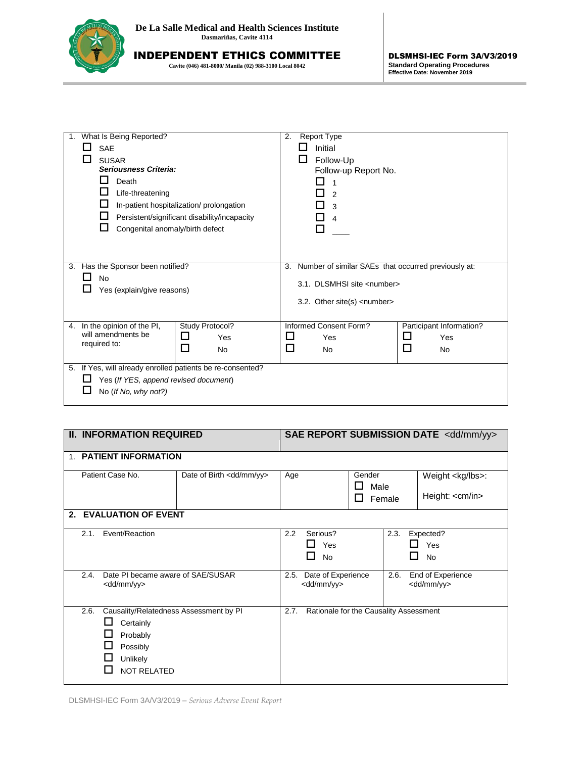

**Cavite (046) 481-8000/ Manila (02) 988-3100 Local 8042**

| What Is Being Reported?<br>1.<br><b>SAE</b><br><b>SUSAR</b><br>Seriousness Criteria:<br>Death<br>Life-threatening<br>In-patient hospitalization/prolongation<br>Persistent/significant disability/incapacity |                                       | 2.              | ப                                                          | <b>Report Type</b><br>Initial<br>Follow-Up<br>Follow-up Report No.<br>2<br>3<br>$\overline{4}$ |                                                           |                        |  |   |                          |  |
|--------------------------------------------------------------------------------------------------------------------------------------------------------------------------------------------------------------|---------------------------------------|-----------------|------------------------------------------------------------|------------------------------------------------------------------------------------------------|-----------------------------------------------------------|------------------------|--|---|--------------------------|--|
|                                                                                                                                                                                                              |                                       |                 |                                                            |                                                                                                |                                                           | ΙI                     |  |   |                          |  |
| Congenital anomaly/birth defect                                                                                                                                                                              |                                       |                 |                                                            |                                                                                                |                                                           |                        |  |   |                          |  |
| 3.                                                                                                                                                                                                           | Has the Sponsor been notified?        |                 |                                                            |                                                                                                | Number of similar SAEs that occurred previously at:<br>3. |                        |  |   |                          |  |
| No                                                                                                                                                                                                           |                                       |                 | 3.1. DLSMHSI site <number></number>                        |                                                                                                |                                                           |                        |  |   |                          |  |
|                                                                                                                                                                                                              | Yes (explain/give reasons)            |                 |                                                            | 3.2. Other site(s) <number></number>                                                           |                                                           |                        |  |   |                          |  |
|                                                                                                                                                                                                              |                                       |                 |                                                            |                                                                                                |                                                           |                        |  |   |                          |  |
| 4.                                                                                                                                                                                                           | In the opinion of the PI,             | Study Protocol? |                                                            |                                                                                                |                                                           | Informed Consent Form? |  |   | Participant Information? |  |
| will amendments be<br>required to:                                                                                                                                                                           |                                       | □               | Yes                                                        | ⊔                                                                                              |                                                           | Yes                    |  | ப | Yes                      |  |
|                                                                                                                                                                                                              |                                       | □               | <b>No</b>                                                  | □                                                                                              |                                                           | <b>No</b>              |  | □ | No                       |  |
|                                                                                                                                                                                                              |                                       |                 | 5. If Yes, will already enrolled patients be re-consented? |                                                                                                |                                                           |                        |  |   |                          |  |
|                                                                                                                                                                                                              | Yes (If YES, append revised document) |                 |                                                            |                                                                                                |                                                           |                        |  |   |                          |  |
|                                                                                                                                                                                                              | No (If No, why not?)                  |                 |                                                            |                                                                                                |                                                           |                        |  |   |                          |  |

| <b>II. INFORMATION REQUIRED</b>                                    |                                                                                                                       |  | SAE REPORT SUBMISSION DATE <dd mm="" yy=""></dd> |                                             |  |                  |                                                      |  |
|--------------------------------------------------------------------|-----------------------------------------------------------------------------------------------------------------------|--|--------------------------------------------------|---------------------------------------------|--|------------------|------------------------------------------------------|--|
|                                                                    | 1. PATIENT INFORMATION                                                                                                |  |                                                  |                                             |  |                  |                                                      |  |
|                                                                    | Patient Case No.<br>Date of Birth <dd mm="" yy=""></dd>                                                               |  |                                                  | Gender<br>Age<br>Male                       |  | Female           | Weight <kg lbs="">:<br/>Height: <cm in=""></cm></kg> |  |
|                                                                    | 2. EVALUATION OF EVENT                                                                                                |  |                                                  |                                             |  |                  |                                                      |  |
|                                                                    | Event/Reaction<br>2.1.                                                                                                |  | 2.2                                              | Serious?<br>П<br>Yes<br><b>No</b><br>I I    |  | 2.3.<br>ΙI<br>LΙ | Expected?<br>Yes<br><b>No</b>                        |  |
| 2.4.<br>Date PI became aware of SAE/SUSAR<br><dd mm="" yy=""></dd> |                                                                                                                       |  | 2.5.                                             | Date of Experience<br><dd mm="" yy=""></dd> |  | 2.6.             | End of Experience<br><dd mm="" yy=""></dd>           |  |
|                                                                    | Causality/Relatedness Assessment by PI<br>2.6.<br>Certainly<br>Probably<br>Possibly<br>Unlikely<br><b>NOT RELATED</b> |  | 2.7.                                             | Rationale for the Causality Assessment      |  |                  |                                                      |  |

DLSMHSI-IEC Form 3A/V3/2019 – *Serious Adverse Event Report*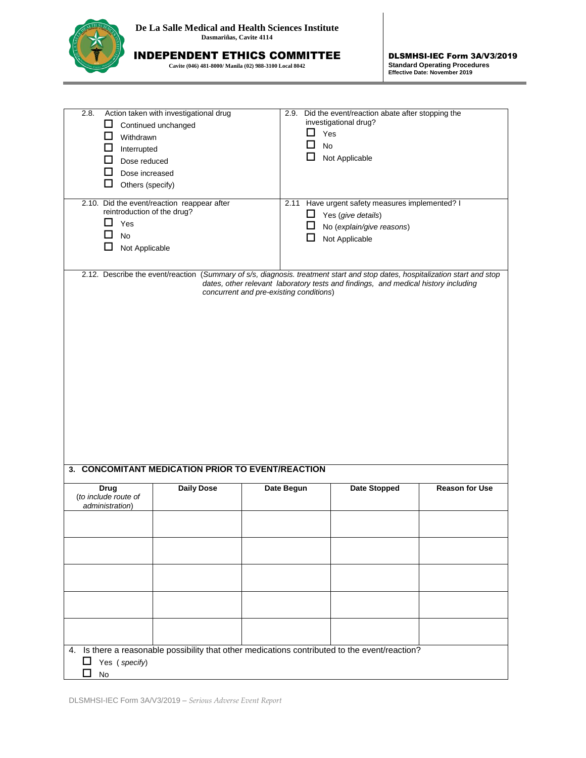

**Cavite (046) 481-8000/ Manila (02) 988-3100 Local 8042**

DLSMHSI-IEC Form 3A/V3/2019 **Standard Operating Procedures Effective Date: November 2019**

| 2.8.<br>ப<br>ப<br>Withdrawn<br>ப<br>Interrupted<br>ы<br>Dose reduced<br>ΙI<br>Dose increased<br>□<br>Others (specify)                                                                                                                                         | Action taken with investigational drug<br>Continued unchanged | 2.9.       | Did the event/reaction abate after stopping the<br>investigational drug?<br>⊔<br>Yes<br>□<br>No<br>□<br>Not Applicable              |                       |  |  |
|---------------------------------------------------------------------------------------------------------------------------------------------------------------------------------------------------------------------------------------------------------------|---------------------------------------------------------------|------------|-------------------------------------------------------------------------------------------------------------------------------------|-----------------------|--|--|
| 2.10. Did the event/reaction reappear after<br>reintroduction of the drug?<br>$\mathsf{L}$<br>Yes<br>No<br>n.<br>⊔<br>Not Applicable                                                                                                                          |                                                               |            | 2.11 Have urgent safety measures implemented? I<br>ப<br>Yes (give details)<br>□<br>No (explain/give reasons)<br>ப<br>Not Applicable |                       |  |  |
| 2.12. Describe the event/reaction (Summary of s/s, diagnosis. treatment start and stop dates, hospitalization start and stop<br>dates, other relevant laboratory tests and findings, and medical history including<br>concurrent and pre-existing conditions) |                                                               |            |                                                                                                                                     |                       |  |  |
| <b>Drug</b><br>(to include route of                                                                                                                                                                                                                           | <b>Daily Dose</b>                                             | Date Begun | <b>Date Stopped</b>                                                                                                                 | <b>Reason for Use</b> |  |  |
| administration)                                                                                                                                                                                                                                               |                                                               |            | 4. Is there a reasonable possibility that other medications contributed to the event/reaction?                                      |                       |  |  |
| $\Box$<br>Yes (specify)<br>No                                                                                                                                                                                                                                 |                                                               |            |                                                                                                                                     |                       |  |  |